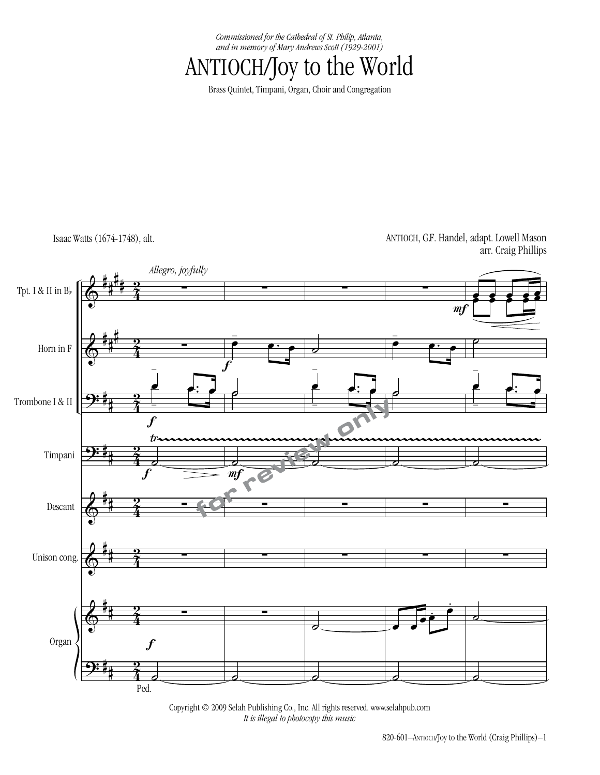*Commissioned for the Cathedral of St. Philip, Atlanta, and in memory of Mary Andrews Scott (1929-2001)*

ANTIOCH/Joy to the World

Brass Quintet, Timpani, Organ, Choir and Congregation

Isaac Watts (1674-1748), alt.

ANTIOCH, G.F. Handel, adapt. Lowell Mason arr. Craig Phillips



Copyright © 2009 Selah Publishing Co., Inc. All rights reserved. www.selahpub.com *It is illegal to photocopy this music.*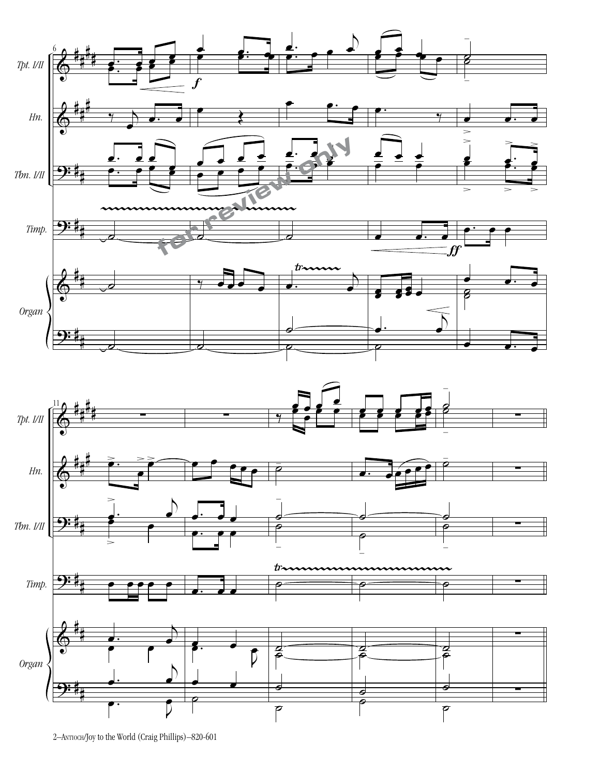

2–Antioch/Joy to the World (Craig Phillips)–820-601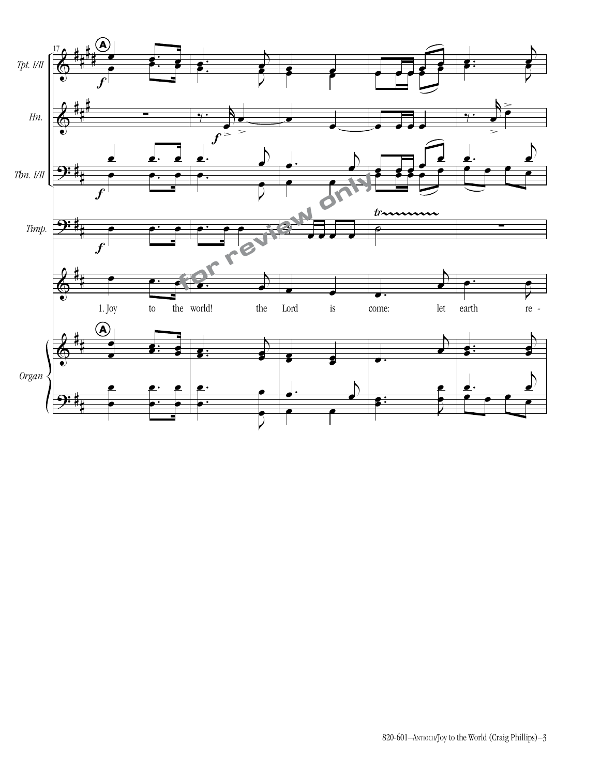